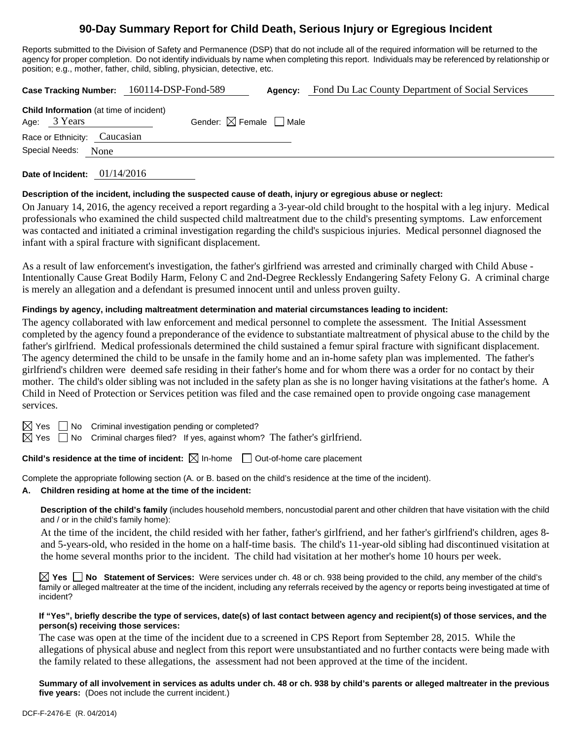# **90-Day Summary Report for Child Death, Serious Injury or Egregious Incident**

Reports submitted to the Division of Safety and Permanence (DSP) that do not include all of the required information will be returned to the agency for proper completion. Do not identify individuals by name when completing this report. Individuals may be referenced by relationship or position; e.g., mother, father, child, sibling, physician, detective, etc.

|                              |                                                                | Case Tracking Number: 160114-DSP-Fond-589 |                                        | Agency: | Fond Du Lac County Department of Social Services |
|------------------------------|----------------------------------------------------------------|-------------------------------------------|----------------------------------------|---------|--------------------------------------------------|
|                              | <b>Child Information</b> (at time of incident)<br>Age: 3 Years |                                           | Gender: $\boxtimes$ Female $\Box$ Male |         |                                                  |
| Race or Ethnicity: Caucasian |                                                                |                                           |                                        |         |                                                  |
|                              | Special Needs:<br>None                                         |                                           |                                        |         |                                                  |

**Date of Incident:** 01/14/2016

### **Description of the incident, including the suspected cause of death, injury or egregious abuse or neglect:**

On January 14, 2016, the agency received a report regarding a 3-year-old child brought to the hospital with a leg injury. Medical professionals who examined the child suspected child maltreatment due to the child's presenting symptoms. Law enforcement was contacted and initiated a criminal investigation regarding the child's suspicious injuries. Medical personnel diagnosed the infant with a spiral fracture with significant displacement.

As a result of law enforcement's investigation, the father's girlfriend was arrested and criminally charged with Child Abuse - Intentionally Cause Great Bodily Harm, Felony C and 2nd-Degree Recklessly Endangering Safety Felony G. A criminal charge is merely an allegation and a defendant is presumed innocent until and unless proven guilty.

## **Findings by agency, including maltreatment determination and material circumstances leading to incident:**

The agency collaborated with law enforcement and medical personnel to complete the assessment. The Initial Assessment completed by the agency found a preponderance of the evidence to substantiate maltreatment of physical abuse to the child by the father's girlfriend. Medical professionals determined the child sustained a femur spiral fracture with significant displacement. The agency determined the child to be unsafe in the family home and an in-home safety plan was implemented. The father's girlfriend's children were deemed safe residing in their father's home and for whom there was a order for no contact by their mother. The child's older sibling was not included in the safety plan as she is no longer having visitations at the father's home. A Child in Need of Protection or Services petition was filed and the case remained open to provide ongoing case management services.



 $\boxtimes$  Yes  $\Box$  No Criminal investigation pending or completed?

 $\boxtimes$  Yes  $\Box$  No Criminal charges filed? If yes, against whom? The father's girlfriend.

**Child's residence at the time of incident:**  $\boxtimes$  In-home  $\Box$  Out-of-home care placement

Complete the appropriate following section (A. or B. based on the child's residence at the time of the incident).

### **A. Children residing at home at the time of the incident:**

**Description of the child's family** (includes household members, noncustodial parent and other children that have visitation with the child and / or in the child's family home):

 At the time of the incident, the child resided with her father, father's girlfriend, and her father's girlfriend's children, ages 8 and 5-years-old, who resided in the home on a half-time basis. The child's 11-year-old sibling had discontinued visitation at the home several months prior to the incident. The child had visitation at her mother's home 10 hours per week.

**Yes No Statement of Services:** Were services under ch. 48 or ch. 938 being provided to the child, any member of the child's family or alleged maltreater at the time of the incident, including any referrals received by the agency or reports being investigated at time of incident?

#### **If "Yes", briefly describe the type of services, date(s) of last contact between agency and recipient(s) of those services, and the person(s) receiving those services:**

The case was open at the time of the incident due to a screened in CPS Report from September 28, 2015. While the allegations of physical abuse and neglect from this report were unsubstantiated and no further contacts were being made with the family related to these allegations, the assessment had not been approved at the time of the incident.

**Summary of all involvement in services as adults under ch. 48 or ch. 938 by child's parents or alleged maltreater in the previous five years:** (Does not include the current incident.)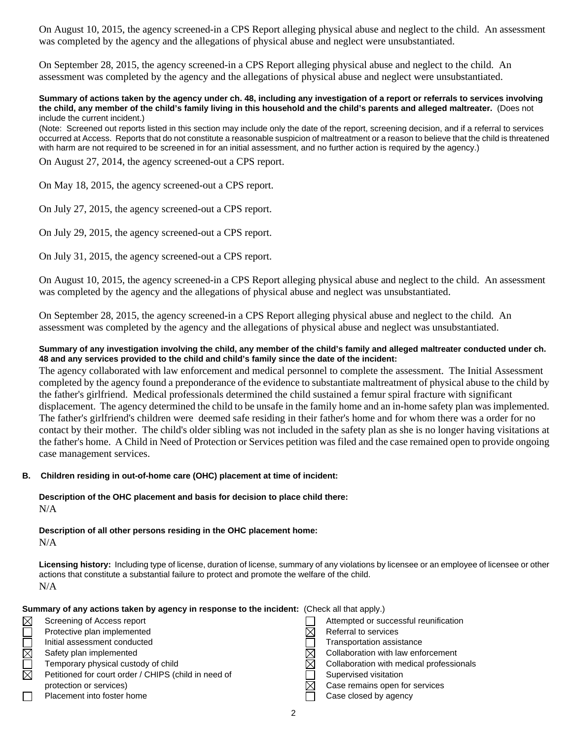On August 10, 2015, the agency screened-in a CPS Report alleging physical abuse and neglect to the child. An assessment was completed by the agency and the allegations of physical abuse and neglect were unsubstantiated.

On September 28, 2015, the agency screened-in a CPS Report alleging physical abuse and neglect to the child. An assessment was completed by the agency and the allegations of physical abuse and neglect were unsubstantiated.

#### **Summary of actions taken by the agency under ch. 48, including any investigation of a report or referrals to services involving the child, any member of the child's family living in this household and the child's parents and alleged maltreater.** (Does not include the current incident.)

(Note: Screened out reports listed in this section may include only the date of the report, screening decision, and if a referral to services occurred at Access. Reports that do not constitute a reasonable suspicion of maltreatment or a reason to believe that the child is threatened with harm are not required to be screened in for an initial assessment, and no further action is required by the agency.)

On August 27, 2014, the agency screened-out a CPS report.

On May 18, 2015, the agency screened-out a CPS report.

On July 27, 2015, the agency screened-out a CPS report.

On July 29, 2015, the agency screened-out a CPS report.

On July 31, 2015, the agency screened-out a CPS report.

On August 10, 2015, the agency screened-in a CPS Report alleging physical abuse and neglect to the child. An assessment was completed by the agency and the allegations of physical abuse and neglect was unsubstantiated.

On September 28, 2015, the agency screened-in a CPS Report alleging physical abuse and neglect to the child. An assessment was completed by the agency and the allegations of physical abuse and neglect was unsubstantiated.

### **Summary of any investigation involving the child, any member of the child's family and alleged maltreater conducted under ch. 48 and any services provided to the child and child's family since the date of the incident:**

The agency collaborated with law enforcement and medical personnel to complete the assessment. The Initial Assessment completed by the agency found a preponderance of the evidence to substantiate maltreatment of physical abuse to the child by the father's girlfriend. Medical professionals determined the child sustained a femur spiral fracture with significant displacement. The agency determined the child to be unsafe in the family home and an in-home safety plan was implemented. The father's girlfriend's children were deemed safe residing in their father's home and for whom there was a order for no contact by their mother. The child's older sibling was not included in the safety plan as she is no longer having visitations at the father's home. A Child in Need of Protection or Services petition was filed and the case remained open to provide ongoing case management services.

### **B. Children residing in out-of-home care (OHC) placement at time of incident:**

**Description of the OHC placement and basis for decision to place child there:**  N/A

**Description of all other persons residing in the OHC placement home:**  N/A

**Licensing history:** Including type of license, duration of license, summary of any violations by licensee or an employee of licensee or other actions that constitute a substantial failure to protect and promote the welfare of the child. N/A

### **Summary of any actions taken by agency in response to the incident:** (Check all that apply.)

| Screening of Access report                           | Attempted or successful re  |
|------------------------------------------------------|-----------------------------|
| Protective plan implemented                          | Referral to services        |
| Initial assessment conducted                         | Transportation assistance   |
| Safety plan implemented                              | Collaboration with law enfo |
| Temporary physical custody of child                  | Collaboration with medical  |
| Petitioned for court order / CHIPS (child in need of | Supervised visitation       |

| protection or services)    |  |
|----------------------------|--|
| Placement into foster home |  |

| Screening of Access report                           | Attempted or successful reunification    |
|------------------------------------------------------|------------------------------------------|
| Protective plan implemented                          | Referral to services                     |
| Initial assessment conducted                         | <b>Transportation assistance</b>         |
| Safety plan implemented                              | Collaboration with law enforcement<br>IX |
| Temporary physical custody of child                  | Collaboration with medical professionals |
| Petitioned for court order / CHIPS (child in need of | Supervised visitation                    |
| protection or services)                              | Case remains open for services<br>IX     |
| Placement into foster home                           | Case closed by agency                    |